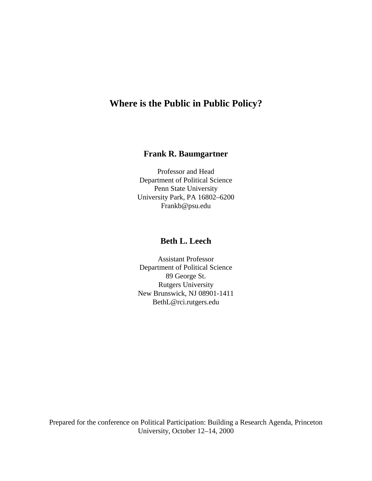# **Where is the Public in Public Policy?**

# **Frank R. Baumgartner**

Professor and Head Department of Political Science Penn State University University Park, PA 16802–6200 Frankb@psu.edu

# **Beth L. Leech**

Assistant Professor Department of Political Science 89 George St. Rutgers University New Brunswick, NJ 08901-1411 BethL@rci.rutgers.edu

Prepared for the conference on Political Participation: Building a Research Agenda, Princeton University, October 12–14, 2000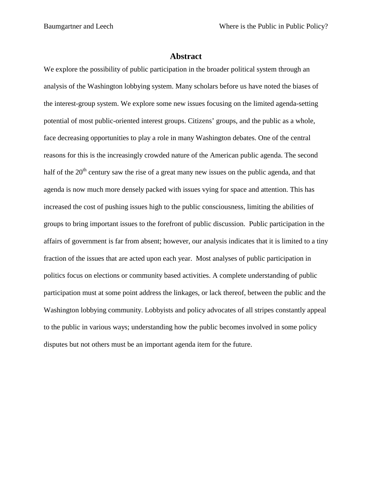## **Abstract**

We explore the possibility of public participation in the broader political system through an analysis of the Washington lobbying system. Many scholars before us have noted the biases of the interest-group system. We explore some new issues focusing on the limited agenda-setting potential of most public-oriented interest groups. Citizens' groups, and the public as a whole, face decreasing opportunities to play a role in many Washington debates. One of the central reasons for this is the increasingly crowded nature of the American public agenda. The second half of the 20<sup>th</sup> century saw the rise of a great many new issues on the public agenda, and that agenda is now much more densely packed with issues vying for space and attention. This has increased the cost of pushing issues high to the public consciousness, limiting the abilities of groups to bring important issues to the forefront of public discussion. Public participation in the affairs of government is far from absent; however, our analysis indicates that it is limited to a tiny fraction of the issues that are acted upon each year. Most analyses of public participation in politics focus on elections or community based activities. A complete understanding of public participation must at some point address the linkages, or lack thereof, between the public and the Washington lobbying community. Lobbyists and policy advocates of all stripes constantly appeal to the public in various ways; understanding how the public becomes involved in some policy disputes but not others must be an important agenda item for the future.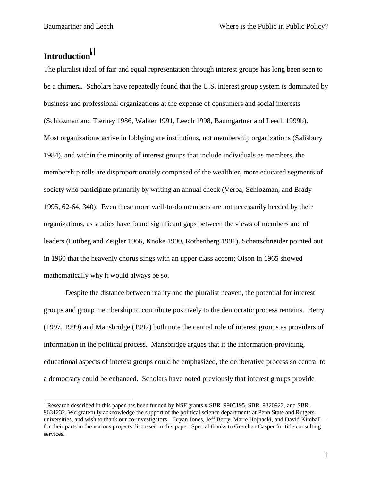# Introduction<sup>1</sup>

 $\overline{a}$ 

The pluralist ideal of fair and equal representation through interest groups has long been seen to be a chimera. Scholars have repeatedly found that the U.S. interest group system is dominated by business and professional organizations at the expense of consumers and social interests (Schlozman and Tierney 1986, Walker 1991, Leech 1998, Baumgartner and Leech 1999b). Most organizations active in lobbying are institutions, not membership organizations (Salisbury 1984), and within the minority of interest groups that include individuals as members, the membership rolls are disproportionately comprised of the wealthier, more educated segments of society who participate primarily by writing an annual check (Verba, Schlozman, and Brady 1995, 62-64, 340). Even these more well-to-do members are not necessarily heeded by their organizations, as studies have found significant gaps between the views of members and of leaders (Luttbeg and Zeigler 1966, Knoke 1990, Rothenberg 1991). Schattschneider pointed out in 1960 that the heavenly chorus sings with an upper class accent; Olson in 1965 showed mathematically why it would always be so.

Despite the distance between reality and the pluralist heaven, the potential for interest groups and group membership to contribute positively to the democratic process remains. Berry (1997, 1999) and Mansbridge (1992) both note the central role of interest groups as providers of information in the political process. Mansbridge argues that if the information-providing, educational aspects of interest groups could be emphasized, the deliberative process so central to a democracy could be enhanced. Scholars have noted previously that interest groups provide

<sup>&</sup>lt;sup>1</sup> Research described in this paper has been funded by NSF grants # SBR–9905195, SBR–9320922, and SBR– 9631232. We gratefully acknowledge the support of the political science departments at Penn State and Rutgers universities, and wish to thank our co-investigators—Bryan Jones, Jeff Berry, Marie Hojnacki, and David Kimball for their parts in the various projects discussed in this paper. Special thanks to Gretchen Casper for title consulting services.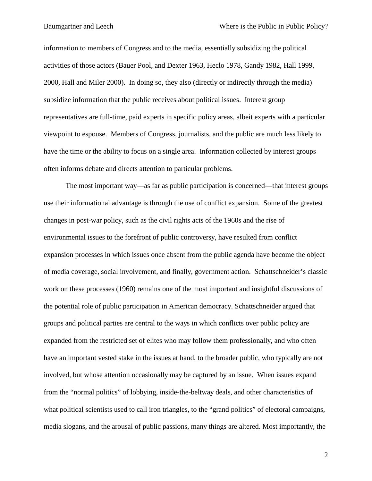information to members of Congress and to the media, essentially subsidizing the political activities of those actors (Bauer Pool, and Dexter 1963, Heclo 1978, Gandy 1982, Hall 1999, 2000, Hall and Miler 2000). In doing so, they also (directly or indirectly through the media) subsidize information that the public receives about political issues. Interest group representatives are full-time, paid experts in specific policy areas, albeit experts with a particular viewpoint to espouse. Members of Congress, journalists, and the public are much less likely to have the time or the ability to focus on a single area. Information collected by interest groups often informs debate and directs attention to particular problems.

The most important way—as far as public participation is concerned—that interest groups use their informational advantage is through the use of conflict expansion. Some of the greatest changes in post-war policy, such as the civil rights acts of the 1960s and the rise of environmental issues to the forefront of public controversy, have resulted from conflict expansion processes in which issues once absent from the public agenda have become the object of media coverage, social involvement, and finally, government action. Schattschneider's classic work on these processes (1960) remains one of the most important and insightful discussions of the potential role of public participation in American democracy. Schattschneider argued that groups and political parties are central to the ways in which conflicts over public policy are expanded from the restricted set of elites who may follow them professionally, and who often have an important vested stake in the issues at hand, to the broader public, who typically are not involved, but whose attention occasionally may be captured by an issue. When issues expand from the "normal politics" of lobbying, inside-the-beltway deals, and other characteristics of what political scientists used to call iron triangles, to the "grand politics" of electoral campaigns, media slogans, and the arousal of public passions, many things are altered. Most importantly, the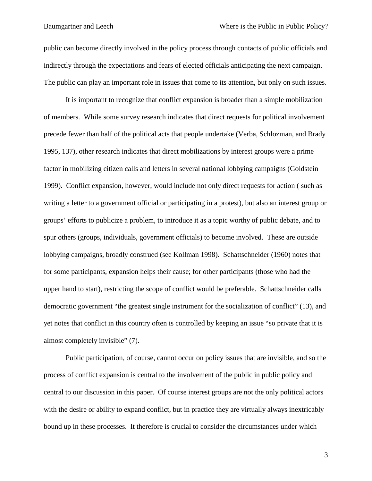public can become directly involved in the policy process through contacts of public officials and indirectly through the expectations and fears of elected officials anticipating the next campaign. The public can play an important role in issues that come to its attention, but only on such issues.

It is important to recognize that conflict expansion is broader than a simple mobilization of members. While some survey research indicates that direct requests for political involvement precede fewer than half of the political acts that people undertake (Verba, Schlozman, and Brady 1995, 137), other research indicates that direct mobilizations by interest groups were a prime factor in mobilizing citizen calls and letters in several national lobbying campaigns (Goldstein 1999). Conflict expansion, however, would include not only direct requests for action ( such as writing a letter to a government official or participating in a protest), but also an interest group or groups' efforts to publicize a problem, to introduce it as a topic worthy of public debate, and to spur others (groups, individuals, government officials) to become involved. These are outside lobbying campaigns, broadly construed (see Kollman 1998). Schattschneider (1960) notes that for some participants, expansion helps their cause; for other participants (those who had the upper hand to start), restricting the scope of conflict would be preferable. Schattschneider calls democratic government "the greatest single instrument for the socialization of conflict" (13), and yet notes that conflict in this country often is controlled by keeping an issue "so private that it is almost completely invisible" (7).

Public participation, of course, cannot occur on policy issues that are invisible, and so the process of conflict expansion is central to the involvement of the public in public policy and central to our discussion in this paper. Of course interest groups are not the only political actors with the desire or ability to expand conflict, but in practice they are virtually always inextricably bound up in these processes. It therefore is crucial to consider the circumstances under which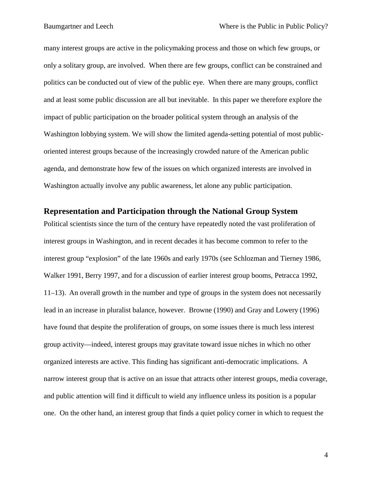many interest groups are active in the policymaking process and those on which few groups, or only a solitary group, are involved. When there are few groups, conflict can be constrained and politics can be conducted out of view of the public eye. When there are many groups, conflict and at least some public discussion are all but inevitable. In this paper we therefore explore the impact of public participation on the broader political system through an analysis of the Washington lobbying system. We will show the limited agenda-setting potential of most publicoriented interest groups because of the increasingly crowded nature of the American public agenda, and demonstrate how few of the issues on which organized interests are involved in Washington actually involve any public awareness, let alone any public participation.

# **Representation and Participation through the National Group System**

Political scientists since the turn of the century have repeatedly noted the vast proliferation of interest groups in Washington, and in recent decades it has become common to refer to the interest group "explosion" of the late 1960s and early 1970s (see Schlozman and Tierney 1986, Walker 1991, Berry 1997, and for a discussion of earlier interest group booms, Petracca 1992, 11–13). An overall growth in the number and type of groups in the system does not necessarily lead in an increase in pluralist balance, however. Browne (1990) and Gray and Lowery (1996) have found that despite the proliferation of groups, on some issues there is much less interest group activity—indeed, interest groups may gravitate toward issue niches in which no other organized interests are active. This finding has significant anti-democratic implications. A narrow interest group that is active on an issue that attracts other interest groups, media coverage, and public attention will find it difficult to wield any influence unless its position is a popular one. On the other hand, an interest group that finds a quiet policy corner in which to request the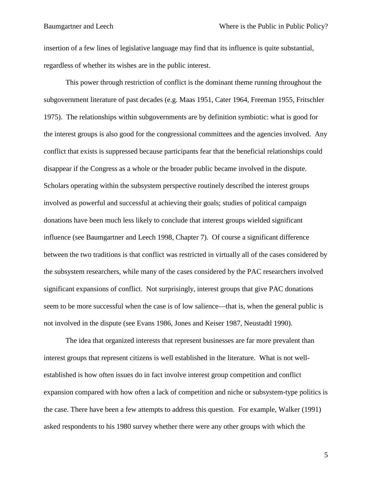insertion of a few lines of legislative language may find that its influence is quite substantial, regardless of whether its wishes are in the public interest.

This power through restriction of conflict is the dominant theme running throughout the subgovernment literature of past decades (e.g. Maas 1951, Cater 1964, Freeman 1955, Fritschler 1975). The relationships within subgovernments are by definition symbiotic: what is good for the interest groups is also good for the congressional committees and the agencies involved. Any conflict that exists is suppressed because participants fear that the beneficial relationships could disappear if the Congress as a whole or the broader public became involved in the dispute. Scholars operating within the subsystem perspective routinely described the interest groups involved as powerful and successful at achieving their goals; studies of political campaign donations have been much less likely to conclude that interest groups wielded significant influence (see Baumgartner and Leech 1998, Chapter 7). Of course a significant difference between the two traditions is that conflict was restricted in virtually all of the cases considered by the subsystem researchers, while many of the cases considered by the PAC researchers involved significant expansions of conflict. Not surprisingly, interest groups that give PAC donations seem to be more successful when the case is of low salience—that is, when the general public is not involved in the dispute (see Evans 1986, Jones and Keiser 1987, Neustadtl 1990).

The idea that organized interests that represent businesses are far more prevalent than interest groups that represent citizens is well established in the literature. What is not wellestablished is how often issues do in fact involve interest group competition and conflict expansion compared with how often a lack of competition and niche or subsystem-type politics is the case. There have been a few attempts to address this question. For example, Walker (1991) asked respondents to his 1980 survey whether there were any other groups with which the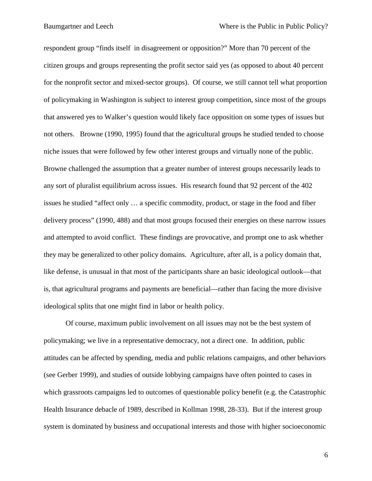respondent group "finds itself in disagreement or opposition?" More than 70 percent of the citizen groups and groups representing the profit sector said yes (as opposed to about 40 percent for the nonprofit sector and mixed-sector groups). Of course, we still cannot tell what proportion of policymaking in Washington is subject to interest group competition, since most of the groups that answered yes to Walker's question would likely face opposition on some types of issues but not others. Browne (1990, 1995) found that the agricultural groups he studied tended to choose niche issues that were followed by few other interest groups and virtually none of the public. Browne challenged the assumption that a greater number of interest groups necessarily leads to any sort of pluralist equilibrium across issues. His research found that 92 percent of the 402 issues he studied "affect only … a specific commodity, product, or stage in the food and fiber delivery process" (1990, 488) and that most groups focused their energies on these narrow issues and attempted to avoid conflict. These findings are provocative, and prompt one to ask whether they may be generalized to other policy domains. Agriculture, after all, is a policy domain that, like defense, is unusual in that most of the participants share an basic ideological outlook—that is, that agricultural programs and payments are beneficial—rather than facing the more divisive ideological splits that one might find in labor or health policy.

Of course, maximum public involvement on all issues may not be the best system of policymaking; we live in a representative democracy, not a direct one. In addition, public attitudes can be affected by spending, media and public relations campaigns, and other behaviors (see Gerber 1999), and studies of outside lobbying campaigns have often pointed to cases in which grassroots campaigns led to outcomes of questionable policy benefit (e.g. the Catastrophic Health Insurance debacle of 1989, described in Kollman 1998, 28-33). But if the interest group system is dominated by business and occupational interests and those with higher socioeconomic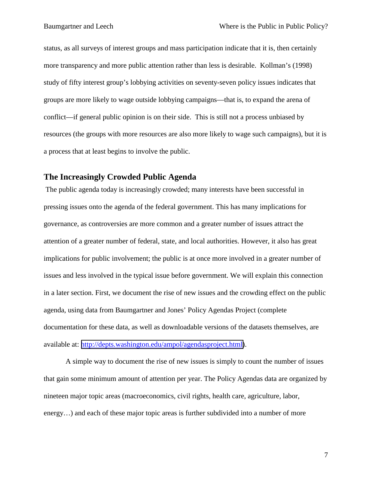status, as all surveys of interest groups and mass participation indicate that it is, then certainly more transparency and more public attention rather than less is desirable. Kollman's (1998) study of fifty interest group's lobbying activities on seventy-seven policy issues indicates that groups are more likely to wage outside lobbying campaigns—that is, to expand the arena of conflict—if general public opinion is on their side. This is still not a process unbiased by resources (the groups with more resources are also more likely to wage such campaigns), but it is a process that at least begins to involve the public.

# **The Increasingly Crowded Public Agenda**

 The public agenda today is increasingly crowded; many interests have been successful in pressing issues onto the agenda of the federal government. This has many implications for governance, as controversies are more common and a greater number of issues attract the attention of a greater number of federal, state, and local authorities. However, it also has great implications for public involvement; the public is at once more involved in a greater number of issues and less involved in the typical issue before government. We will explain this connection in a later section. First, we document the rise of new issues and the crowding effect on the public agenda, using data from Baumgartner and Jones' Policy Agendas Project (complete documentation for these data, as well as downloadable versions of the datasets themselves, are available at: [http://depts.washington.edu/ampol/agendasproject.html\)](http://depts.washington.edu/ampol/agendasproject.html).

A simple way to document the rise of new issues is simply to count the number of issues that gain some minimum amount of attention per year. The Policy Agendas data are organized by nineteen major topic areas (macroeconomics, civil rights, health care, agriculture, labor, energy...) and each of these major topic areas is further subdivided into a number of more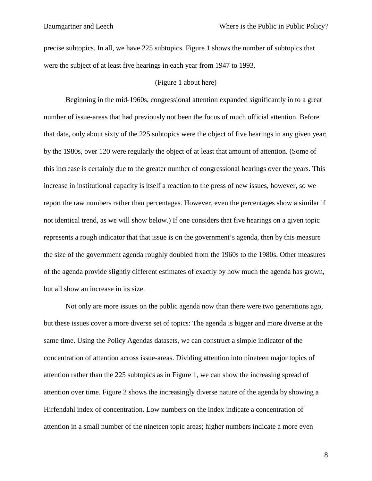precise subtopics. In all, we have 225 subtopics. Figure 1 shows the number of subtopics that were the subject of at least five hearings in each year from 1947 to 1993.

### (Figure 1 about here)

Beginning in the mid-1960s, congressional attention expanded significantly in to a great number of issue-areas that had previously not been the focus of much official attention. Before that date, only about sixty of the 225 subtopics were the object of five hearings in any given year; by the 1980s, over 120 were regularly the object of at least that amount of attention. (Some of this increase is certainly due to the greater number of congressional hearings over the years. This increase in institutional capacity is itself a reaction to the press of new issues, however, so we report the raw numbers rather than percentages. However, even the percentages show a similar if not identical trend, as we will show below.) If one considers that five hearings on a given topic represents a rough indicator that that issue is on the government's agenda, then by this measure the size of the government agenda roughly doubled from the 1960s to the 1980s. Other measures of the agenda provide slightly different estimates of exactly by how much the agenda has grown, but all show an increase in its size.

Not only are more issues on the public agenda now than there were two generations ago, but these issues cover a more diverse set of topics: The agenda is bigger and more diverse at the same time. Using the Policy Agendas datasets, we can construct a simple indicator of the concentration of attention across issue-areas. Dividing attention into nineteen major topics of attention rather than the 225 subtopics as in Figure 1, we can show the increasing spread of attention over time. Figure 2 shows the increasingly diverse nature of the agenda by showing a Hirfendahl index of concentration. Low numbers on the index indicate a concentration of attention in a small number of the nineteen topic areas; higher numbers indicate a more even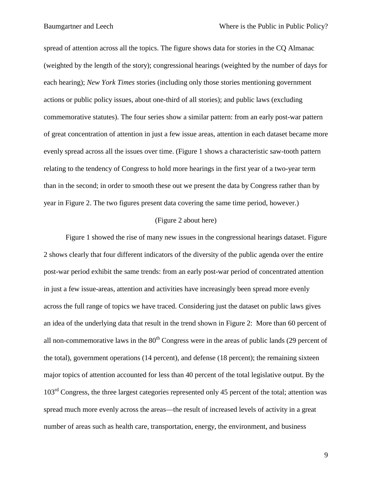spread of attention across all the topics. The figure shows data for stories in the CQ Almanac (weighted by the length of the story); congressional hearings (weighted by the number of days for each hearing); *New York Times* stories (including only those stories mentioning government actions or public policy issues, about one-third of all stories); and public laws (excluding commemorative statutes). The four series show a similar pattern: from an early post-war pattern of great concentration of attention in just a few issue areas, attention in each dataset became more evenly spread across all the issues over time. (Figure 1 shows a characteristic saw-tooth pattern relating to the tendency of Congress to hold more hearings in the first year of a two-year term than in the second; in order to smooth these out we present the data by Congress rather than by year in Figure 2. The two figures present data covering the same time period, however.)

### (Figure 2 about here)

Figure 1 showed the rise of many new issues in the congressional hearings dataset. Figure 2 shows clearly that four different indicators of the diversity of the public agenda over the entire post-war period exhibit the same trends: from an early post-war period of concentrated attention in just a few issue-areas, attention and activities have increasingly been spread more evenly across the full range of topics we have traced. Considering just the dataset on public laws gives an idea of the underlying data that result in the trend shown in Figure 2: More than 60 percent of all non-commemorative laws in the  $80<sup>th</sup>$  Congress were in the areas of public lands (29 percent of the total), government operations (14 percent), and defense (18 percent); the remaining sixteen major topics of attention accounted for less than 40 percent of the total legislative output. By the 103<sup>rd</sup> Congress, the three largest categories represented only 45 percent of the total; attention was spread much more evenly across the areas—the result of increased levels of activity in a great number of areas such as health care, transportation, energy, the environment, and business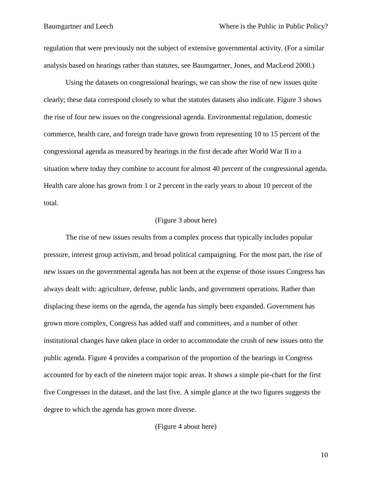regulation that were previously not the subject of extensive governmental activity. (For a similar analysis based on hearings rather than statutes, see Baumgartner, Jones, and MacLeod 2000.)

Using the datasets on congressional hearings, we can show the rise of new issues quite clearly; these data correspond closely to what the statutes datasets also indicate. Figure 3 shows the rise of four new issues on the congressional agenda. Environmental regulation, domestic commerce, health care, and foreign trade have grown from representing 10 to 15 percent of the congressional agenda as measured by hearings in the first decade after World War II to a situation where today they combine to account for almost 40 percent of the congressional agenda. Health care alone has grown from 1 or 2 percent in the early years to about 10 percent of the total.

### (Figure 3 about here)

The rise of new issues results from a complex process that typically includes popular pressure, interest group activism, and broad political campaigning. For the most part, the rise of new issues on the governmental agenda has not been at the expense of those issues Congress has always dealt with: agriculture, defense, public lands, and government operations. Rather than displacing these items on the agenda, the agenda has simply been expanded. Government has grown more complex, Congress has added staff and committees, and a number of other institutional changes have taken place in order to accommodate the crush of new issues onto the public agenda. Figure 4 provides a comparison of the proportion of the hearings in Congress accounted for by each of the nineteen major topic areas. It shows a simple pie-chart for the first five Congresses in the dataset, and the last five. A simple glance at the two figures suggests the degree to which the agenda has grown more diverse.

### (Figure 4 about here)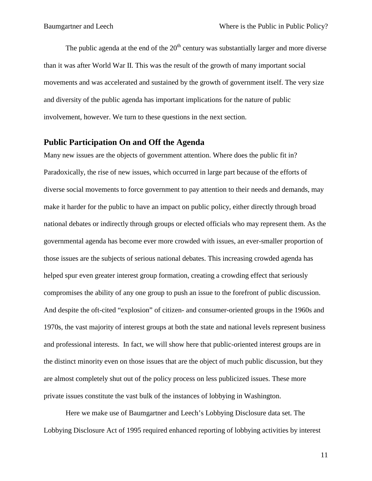The public agenda at the end of the  $20<sup>th</sup>$  century was substantially larger and more diverse than it was after World War II. This was the result of the growth of many important social movements and was accelerated and sustained by the growth of government itself. The very size and diversity of the public agenda has important implications for the nature of public involvement, however. We turn to these questions in the next section.

# **Public Participation On and Off the Agenda**

Many new issues are the objects of government attention. Where does the public fit in? Paradoxically, the rise of new issues, which occurred in large part because of the efforts of diverse social movements to force government to pay attention to their needs and demands, may make it harder for the public to have an impact on public policy, either directly through broad national debates or indirectly through groups or elected officials who may represent them. As the governmental agenda has become ever more crowded with issues, an ever-smaller proportion of those issues are the subjects of serious national debates. This increasing crowded agenda has helped spur even greater interest group formation, creating a crowding effect that seriously compromises the ability of any one group to push an issue to the forefront of public discussion. And despite the oft-cited "explosion" of citizen- and consumer-oriented groups in the 1960s and 1970s, the vast majority of interest groups at both the state and national levels represent business and professional interests. In fact, we will show here that public-oriented interest groups are in the distinct minority even on those issues that are the object of much public discussion, but they are almost completely shut out of the policy process on less publicized issues. These more private issues constitute the vast bulk of the instances of lobbying in Washington.

Here we make use of Baumgartner and Leech's Lobbying Disclosure data set. The Lobbying Disclosure Act of 1995 required enhanced reporting of lobbying activities by interest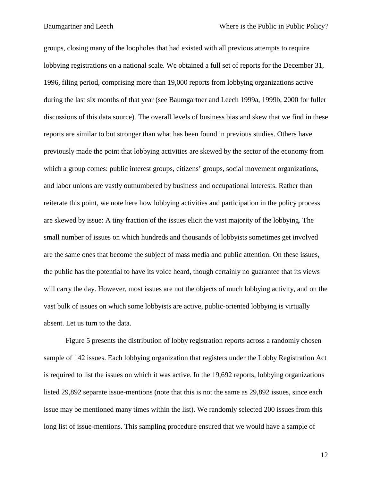groups, closing many of the loopholes that had existed with all previous attempts to require lobbying registrations on a national scale. We obtained a full set of reports for the December 31, 1996, filing period, comprising more than 19,000 reports from lobbying organizations active during the last six months of that year (see Baumgartner and Leech 1999a, 1999b, 2000 for fuller discussions of this data source). The overall levels of business bias and skew that we find in these reports are similar to but stronger than what has been found in previous studies. Others have previously made the point that lobbying activities are skewed by the sector of the economy from which a group comes: public interest groups, citizens' groups, social movement organizations, and labor unions are vastly outnumbered by business and occupational interests. Rather than reiterate this point, we note here how lobbying activities and participation in the policy process are skewed by issue: A tiny fraction of the issues elicit the vast majority of the lobbying. The small number of issues on which hundreds and thousands of lobbyists sometimes get involved are the same ones that become the subject of mass media and public attention. On these issues, the public has the potential to have its voice heard, though certainly no guarantee that its views will carry the day. However, most issues are not the objects of much lobbying activity, and on the vast bulk of issues on which some lobbyists are active, public-oriented lobbying is virtually absent. Let us turn to the data.

Figure 5 presents the distribution of lobby registration reports across a randomly chosen sample of 142 issues. Each lobbying organization that registers under the Lobby Registration Act is required to list the issues on which it was active. In the 19,692 reports, lobbying organizations listed 29,892 separate issue-mentions (note that this is not the same as 29,892 issues, since each issue may be mentioned many times within the list). We randomly selected 200 issues from this long list of issue-mentions. This sampling procedure ensured that we would have a sample of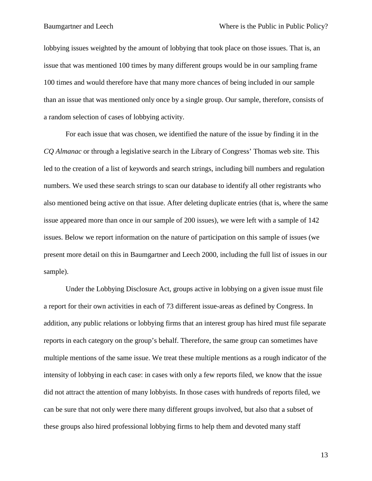lobbying issues weighted by the amount of lobbying that took place on those issues. That is, an issue that was mentioned 100 times by many different groups would be in our sampling frame 100 times and would therefore have that many more chances of being included in our sample than an issue that was mentioned only once by a single group. Our sample, therefore, consists of a random selection of cases of lobbying activity.

For each issue that was chosen, we identified the nature of the issue by finding it in the *CQ Almanac* or through a legislative search in the Library of Congress' Thomas web site. This led to the creation of a list of keywords and search strings, including bill numbers and regulation numbers. We used these search strings to scan our database to identify all other registrants who also mentioned being active on that issue. After deleting duplicate entries (that is, where the same issue appeared more than once in our sample of 200 issues), we were left with a sample of 142 issues. Below we report information on the nature of participation on this sample of issues (we present more detail on this in Baumgartner and Leech 2000, including the full list of issues in our sample).

Under the Lobbying Disclosure Act, groups active in lobbying on a given issue must file a report for their own activities in each of 73 different issue-areas as defined by Congress. In addition, any public relations or lobbying firms that an interest group has hired must file separate reports in each category on the group's behalf. Therefore, the same group can sometimes have multiple mentions of the same issue. We treat these multiple mentions as a rough indicator of the intensity of lobbying in each case: in cases with only a few reports filed, we know that the issue did not attract the attention of many lobbyists. In those cases with hundreds of reports filed, we can be sure that not only were there many different groups involved, but also that a subset of these groups also hired professional lobbying firms to help them and devoted many staff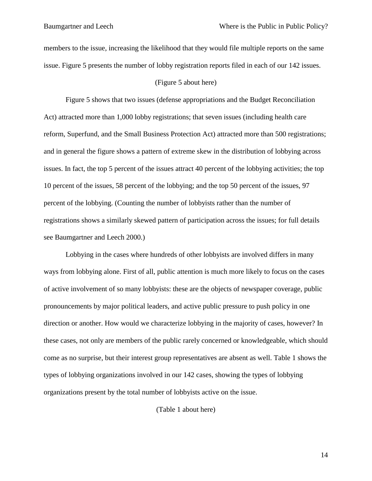members to the issue, increasing the likelihood that they would file multiple reports on the same issue. Figure 5 presents the number of lobby registration reports filed in each of our 142 issues.

### (Figure 5 about here)

Figure 5 shows that two issues (defense appropriations and the Budget Reconciliation Act) attracted more than 1,000 lobby registrations; that seven issues (including health care reform, Superfund, and the Small Business Protection Act) attracted more than 500 registrations; and in general the figure shows a pattern of extreme skew in the distribution of lobbying across issues. In fact, the top 5 percent of the issues attract 40 percent of the lobbying activities; the top 10 percent of the issues, 58 percent of the lobbying; and the top 50 percent of the issues, 97 percent of the lobbying. (Counting the number of lobbyists rather than the number of registrations shows a similarly skewed pattern of participation across the issues; for full details see Baumgartner and Leech 2000.)

Lobbying in the cases where hundreds of other lobbyists are involved differs in many ways from lobbying alone. First of all, public attention is much more likely to focus on the cases of active involvement of so many lobbyists: these are the objects of newspaper coverage, public pronouncements by major political leaders, and active public pressure to push policy in one direction or another. How would we characterize lobbying in the majority of cases, however? In these cases, not only are members of the public rarely concerned or knowledgeable, which should come as no surprise, but their interest group representatives are absent as well. Table 1 shows the types of lobbying organizations involved in our 142 cases, showing the types of lobbying organizations present by the total number of lobbyists active on the issue.

(Table 1 about here)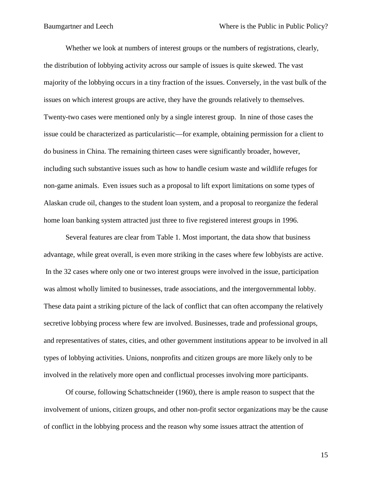Whether we look at numbers of interest groups or the numbers of registrations, clearly, the distribution of lobbying activity across our sample of issues is quite skewed. The vast majority of the lobbying occurs in a tiny fraction of the issues. Conversely, in the vast bulk of the issues on which interest groups are active, they have the grounds relatively to themselves. Twenty-two cases were mentioned only by a single interest group. In nine of those cases the issue could be characterized as particularistic—for example, obtaining permission for a client to do business in China. The remaining thirteen cases were significantly broader, however, including such substantive issues such as how to handle cesium waste and wildlife refuges for non-game animals. Even issues such as a proposal to lift export limitations on some types of Alaskan crude oil, changes to the student loan system, and a proposal to reorganize the federal home loan banking system attracted just three to five registered interest groups in 1996.

Several features are clear from Table 1. Most important, the data show that business advantage, while great overall, is even more striking in the cases where few lobbyists are active. In the 32 cases where only one or two interest groups were involved in the issue, participation was almost wholly limited to businesses, trade associations, and the intergovernmental lobby. These data paint a striking picture of the lack of conflict that can often accompany the relatively secretive lobbying process where few are involved. Businesses, trade and professional groups, and representatives of states, cities, and other government institutions appear to be involved in all types of lobbying activities. Unions, nonprofits and citizen groups are more likely only to be involved in the relatively more open and conflictual processes involving more participants.

Of course, following Schattschneider (1960), there is ample reason to suspect that the involvement of unions, citizen groups, and other non-profit sector organizations may be the cause of conflict in the lobbying process and the reason why some issues attract the attention of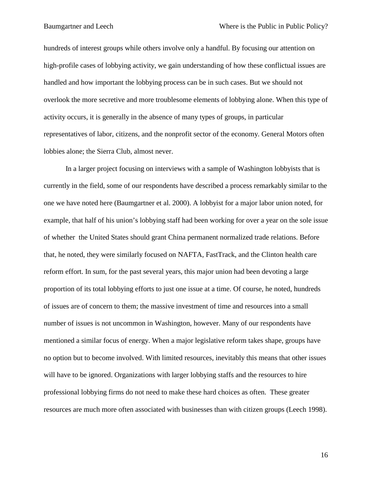hundreds of interest groups while others involve only a handful. By focusing our attention on high-profile cases of lobbying activity, we gain understanding of how these conflictual issues are handled and how important the lobbying process can be in such cases. But we should not overlook the more secretive and more troublesome elements of lobbying alone. When this type of activity occurs, it is generally in the absence of many types of groups, in particular representatives of labor, citizens, and the nonprofit sector of the economy. General Motors often lobbies alone; the Sierra Club, almost never.

In a larger project focusing on interviews with a sample of Washington lobbyists that is currently in the field, some of our respondents have described a process remarkably similar to the one we have noted here (Baumgartner et al. 2000). A lobbyist for a major labor union noted, for example, that half of his union's lobbying staff had been working for over a year on the sole issue of whether the United States should grant China permanent normalized trade relations. Before that, he noted, they were similarly focused on NAFTA, FastTrack, and the Clinton health care reform effort. In sum, for the past several years, this major union had been devoting a large proportion of its total lobbying efforts to just one issue at a time. Of course, he noted, hundreds of issues are of concern to them; the massive investment of time and resources into a small number of issues is not uncommon in Washington, however. Many of our respondents have mentioned a similar focus of energy. When a major legislative reform takes shape, groups have no option but to become involved. With limited resources, inevitably this means that other issues will have to be ignored. Organizations with larger lobbying staffs and the resources to hire professional lobbying firms do not need to make these hard choices as often. These greater resources are much more often associated with businesses than with citizen groups (Leech 1998).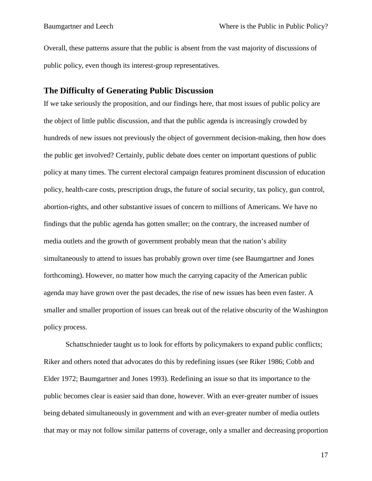Overall, these patterns assure that the public is absent from the vast majority of discussions of public policy, even though its interest-group representatives.

### **The Difficulty of Generating Public Discussion**

If we take seriously the proposition, and our findings here, that most issues of public policy are the object of little public discussion, and that the public agenda is increasingly crowded by hundreds of new issues not previously the object of government decision-making, then how does the public get involved? Certainly, public debate does center on important questions of public policy at many times. The current electoral campaign features prominent discussion of education policy, health-care costs, prescription drugs, the future of social security, tax policy, gun control, abortion-rights, and other substantive issues of concern to millions of Americans. We have no findings that the public agenda has gotten smaller; on the contrary, the increased number of media outlets and the growth of government probably mean that the nation's ability simultaneously to attend to issues has probably grown over time (see Baumgartner and Jones forthcoming). However, no matter how much the carrying capacity of the American public agenda may have grown over the past decades, the rise of new issues has been even faster. A smaller and smaller proportion of issues can break out of the relative obscurity of the Washington policy process.

Schattschnieder taught us to look for efforts by policymakers to expand public conflicts; Riker and others noted that advocates do this by redefining issues (see Riker 1986; Cobb and Elder 1972; Baumgartner and Jones 1993). Redefining an issue so that its importance to the public becomes clear is easier said than done, however. With an ever-greater number of issues being debated simultaneously in government and with an ever-greater number of media outlets that may or may not follow similar patterns of coverage, only a smaller and decreasing proportion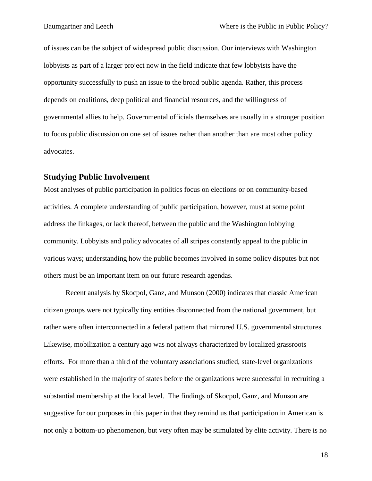of issues can be the subject of widespread public discussion. Our interviews with Washington lobbyists as part of a larger project now in the field indicate that few lobbyists have the opportunity successfully to push an issue to the broad public agenda. Rather, this process depends on coalitions, deep political and financial resources, and the willingness of governmental allies to help. Governmental officials themselves are usually in a stronger position to focus public discussion on one set of issues rather than another than are most other policy advocates.

### **Studying Public Involvement**

Most analyses of public participation in politics focus on elections or on community-based activities. A complete understanding of public participation, however, must at some point address the linkages, or lack thereof, between the public and the Washington lobbying community. Lobbyists and policy advocates of all stripes constantly appeal to the public in various ways; understanding how the public becomes involved in some policy disputes but not others must be an important item on our future research agendas.

Recent analysis by Skocpol, Ganz, and Munson (2000) indicates that classic American citizen groups were not typically tiny entities disconnected from the national government, but rather were often interconnected in a federal pattern that mirrored U.S. governmental structures. Likewise, mobilization a century ago was not always characterized by localized grassroots efforts. For more than a third of the voluntary associations studied, state-level organizations were established in the majority of states before the organizations were successful in recruiting a substantial membership at the local level. The findings of Skocpol, Ganz, and Munson are suggestive for our purposes in this paper in that they remind us that participation in American is not only a bottom-up phenomenon, but very often may be stimulated by elite activity. There is no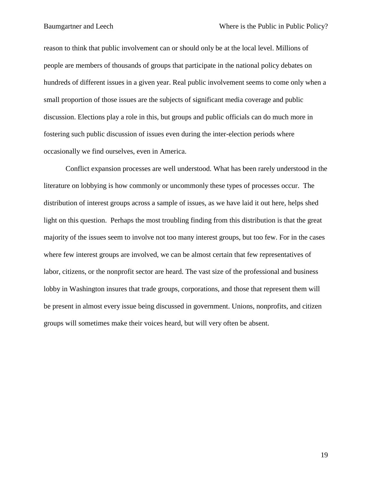reason to think that public involvement can or should only be at the local level. Millions of people are members of thousands of groups that participate in the national policy debates on hundreds of different issues in a given year. Real public involvement seems to come only when a small proportion of those issues are the subjects of significant media coverage and public discussion. Elections play a role in this, but groups and public officials can do much more in fostering such public discussion of issues even during the inter-election periods where occasionally we find ourselves, even in America.

Conflict expansion processes are well understood. What has been rarely understood in the literature on lobbying is how commonly or uncommonly these types of processes occur. The distribution of interest groups across a sample of issues, as we have laid it out here, helps shed light on this question. Perhaps the most troubling finding from this distribution is that the great majority of the issues seem to involve not too many interest groups, but too few. For in the cases where few interest groups are involved, we can be almost certain that few representatives of labor, citizens, or the nonprofit sector are heard. The vast size of the professional and business lobby in Washington insures that trade groups, corporations, and those that represent them will be present in almost every issue being discussed in government. Unions, nonprofits, and citizen groups will sometimes make their voices heard, but will very often be absent.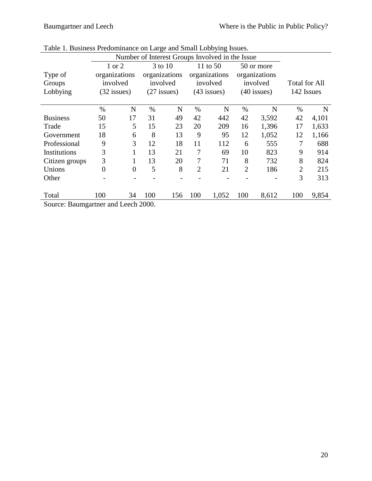|                                   | Number of Interest Groups Involved in the Issue |                |      |               |                |               |                |               |                |       |
|-----------------------------------|-------------------------------------------------|----------------|------|---------------|----------------|---------------|----------------|---------------|----------------|-------|
|                                   |                                                 | 1 or 2         |      | 3 to 10       |                | 11 to 50      |                | 50 or more    |                |       |
| Type of                           | organizations                                   |                |      | organizations |                | organizations |                | organizations |                |       |
| Groups                            |                                                 | involved       |      | involved      |                | involved      |                | involved      | Total for All  |       |
| Lobbying                          |                                                 | $(32$ issues)  |      | $(27$ issues) |                | $(43$ issues) |                | $(40$ issues) | 142 Issues     |       |
|                                   |                                                 |                |      |               |                |               |                |               |                |       |
|                                   | $\%$                                            | N              | $\%$ | N             | $\%$           | N             | $\%$           | N             | $\%$           | N     |
| <b>Business</b>                   | 50                                              | 17             | 31   | 49            | 42             | 442           | 42             | 3,592         | 42             | 4,101 |
| Trade                             | 15                                              | 5              | 15   | 23            | 20             | 209           | 16             | 1,396         | 17             | 1,633 |
| Government                        | 18                                              | 6              | 8    | 13            | 9              | 95            | 12             | 1,052         | 12             | 1,166 |
| Professional                      | 9                                               | 3              | 12   | 18            | 11             | 112           | 6              | 555           | 7              | 688   |
| Institutions                      | 3                                               |                | 13   | 21            | 7              | 69            | 10             | 823           | 9              | 914   |
| Citizen groups                    | 3                                               |                | 13   | 20            | 7              | 71            | 8              | 732           | 8              | 824   |
| Unions                            | $\overline{0}$                                  | $\overline{0}$ | 5    | 8             | $\overline{2}$ | 21            | $\overline{2}$ | 186           | $\overline{2}$ | 215   |
| Other                             |                                                 |                |      |               |                |               |                |               | 3              | 313   |
|                                   |                                                 |                |      |               |                |               |                |               |                |       |
| Total                             | 100                                             | 34             | 100  | 156           | 100            | 1,052         | 100            | 8,612         | 100            | 9,854 |
| Source: Doumontpor and Locak 2000 |                                                 |                |      |               |                |               |                |               |                |       |

| Table 1. Business Predominance on Large and Small Lobbying Issues. |  |  |
|--------------------------------------------------------------------|--|--|
|--------------------------------------------------------------------|--|--|

Source: Baumgartner and Leech 2000.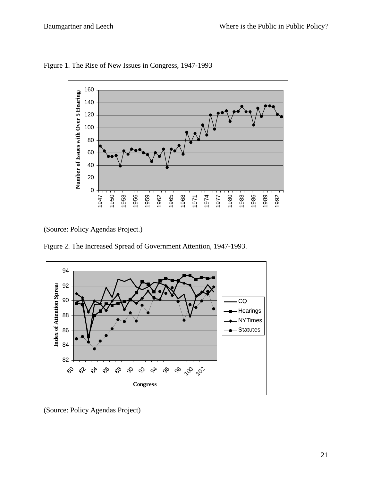

Figure 1. The Rise of New Issues in Congress, 1947-1993

(Source: Policy Agendas Project.)

Figure 2. The Increased Spread of Government Attention, 1947-1993.



(Source: Policy Agendas Project)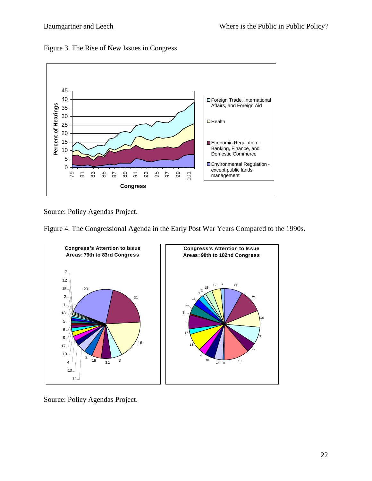Figure 3. The Rise of New Issues in Congress.



Source: Policy Agendas Project.

Figure 4. The Congressional Agenda in the Early Post War Years Compared to the 1990s.



Source: Policy Agendas Project.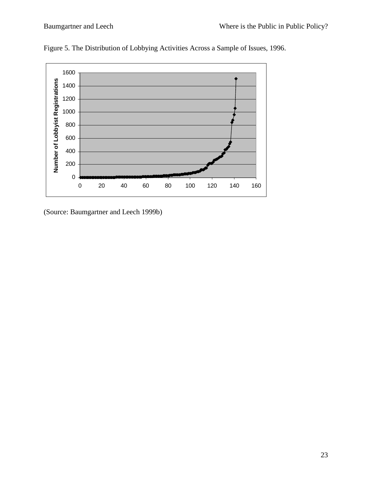

Figure 5. The Distribution of Lobbying Activities Across a Sample of Issues, 1996.

(Source: Baumgartner and Leech 1999b)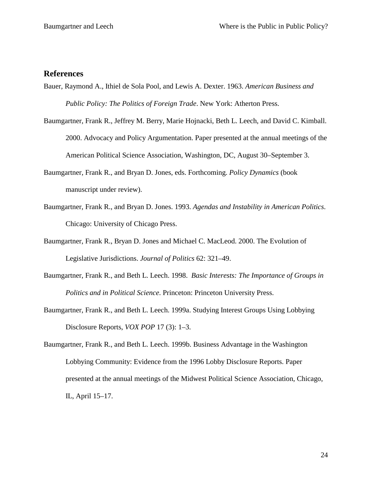# **References**

- Bauer, Raymond A., Ithiel de Sola Pool, and Lewis A. Dexter. 1963. *American Business and Public Policy: The Politics of Foreign Trade*. New York: Atherton Press.
- Baumgartner, Frank R., Jeffrey M. Berry, Marie Hojnacki, Beth L. Leech, and David C. Kimball. 2000. Advocacy and Policy Argumentation. Paper presented at the annual meetings of the American Political Science Association, Washington, DC, August 30–September 3.
- Baumgartner, Frank R., and Bryan D. Jones, eds. Forthcoming. *Policy Dynamics* (book manuscript under review).
- Baumgartner, Frank R., and Bryan D. Jones. 1993. *Agendas and Instability in American Politics*. Chicago: University of Chicago Press.
- Baumgartner, Frank R., Bryan D. Jones and Michael C. MacLeod. 2000. The Evolution of Legislative Jurisdictions. *Journal of Politics* 62: 321–49.
- Baumgartner, Frank R., and Beth L. Leech. 1998. *Basic Interests: The Importance of Groups in Politics and in Political Science*. Princeton: Princeton University Press.
- Baumgartner, Frank R., and Beth L. Leech. 1999a. Studying Interest Groups Using Lobbying Disclosure Reports, *VOX POP* 17 (3): 1–3.
- Baumgartner, Frank R., and Beth L. Leech. 1999b. Business Advantage in the Washington Lobbying Community: Evidence from the 1996 Lobby Disclosure Reports. Paper presented at the annual meetings of the Midwest Political Science Association, Chicago, IL, April 15–17.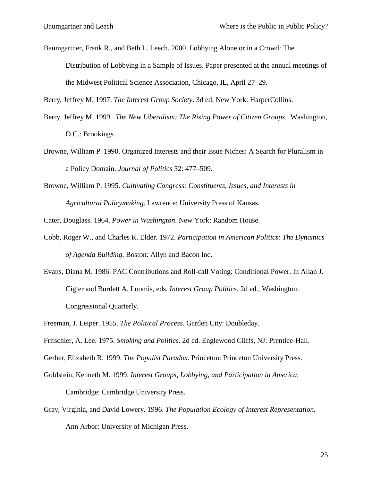Baumgartner, Frank R., and Beth L. Leech. 2000. Lobbying Alone or in a Crowd: The Distribution of Lobbying in a Sample of Issues. Paper presented at the annual meetings of the Midwest Political Science Association, Chicago, IL, April 27–29.

Berry, Jeffrey M. 1997. *The Interest Group Society*. 3d ed. New York: HarperCollins.

- Berry, Jeffrey M. 1999. *The New Liberalism: The Rising Power of Citizen Groups*. Washington, D.C.: Brookings.
- Browne, William P. 1990. Organized Interests and their Issue Niches: A Search for Pluralism in a Policy Domain. *Journal of Politics* 52: 477–509.
- Browne, William P. 1995. *Cultivating Congress: Constituents, Issues, and Interests in Agricultural Policymaking*. Lawrence: University Press of Kansas.

Cater, Douglass. 1964. *Power in Washington*. New York: Random House.

- Cobb, Roger W., and Charles R. Elder. 1972. *Participation in American Politics: The Dynamics of Agenda Building*. Boston: Allyn and Bacon Inc.
- Evans, Diana M. 1986. PAC Contributions and Roll-call Voting: Conditional Power. In Allan J. Cigler and Burdett A. Loomis, eds. *Interest Group Politics.* 2d ed., Washington: Congressional Quarterly.

Freeman, J. Leiper. 1955. *The Political Process*. Garden City: Doubleday.

Fritschler, A. Lee. 1975. *Smoking and Politics*. 2d ed. Englewood Cliffs, NJ: Prentice-Hall.

- Gerber, Elizabeth R. 1999. *The Populist Paradox*. Princeton: Princeton University Press.
- Goldstein, Kenneth M. 1999. *Interest Groups, Lobbying, and Participation in America*.

Cambridge: Cambridge University Press.

Gray, Virginia, and David Lowery. 1996. *The Population Ecology of Interest Representation.* Ann Arbor: University of Michigan Press.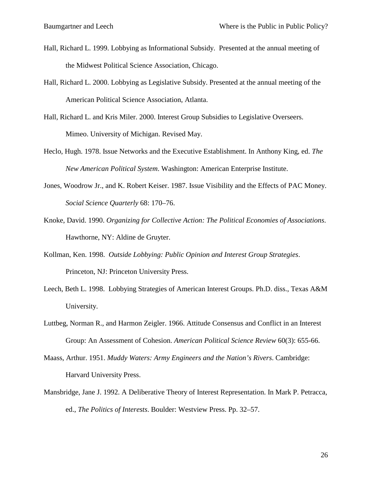- Hall, Richard L. 1999. Lobbying as Informational Subsidy. Presented at the annual meeting of the Midwest Political Science Association, Chicago.
- Hall, Richard L. 2000. Lobbying as Legislative Subsidy. Presented at the annual meeting of the American Political Science Association, Atlanta.
- Hall, Richard L. and Kris Miler. 2000. Interest Group Subsidies to Legislative Overseers. Mimeo. University of Michigan. Revised May.
- Heclo, Hugh. 1978. Issue Networks and the Executive Establishment. In Anthony King, ed. *The New American Political System*. Washington: American Enterprise Institute.
- Jones, Woodrow Jr., and K. Robert Keiser. 1987. Issue Visibility and the Effects of PAC Money. *Social Science Quarterly* 68: 170–76.
- Knoke, David. 1990. *Organizing for Collective Action: The Political Economies of Associations*. Hawthorne, NY: Aldine de Gruyter.
- Kollman, Ken. 1998. *Outside Lobbying: Public Opinion and Interest Group Strategies*. Princeton, NJ: Princeton University Press.
- Leech, Beth L. 1998. Lobbying Strategies of American Interest Groups. Ph.D. diss., Texas A&M University.
- Luttbeg, Norman R., and Harmon Zeigler. 1966. Attitude Consensus and Conflict in an Interest Group: An Assessment of Cohesion. *American Political Science Review* 60(3): 655-66.
- Maass, Arthur. 1951. *Muddy Waters: Army Engineers and the Nation's Rivers*. Cambridge: Harvard University Press.
- Mansbridge, Jane J. 1992. A Deliberative Theory of Interest Representation. In Mark P. Petracca, ed., *The Politics of Interests*. Boulder: Westview Press. Pp. 32–57.